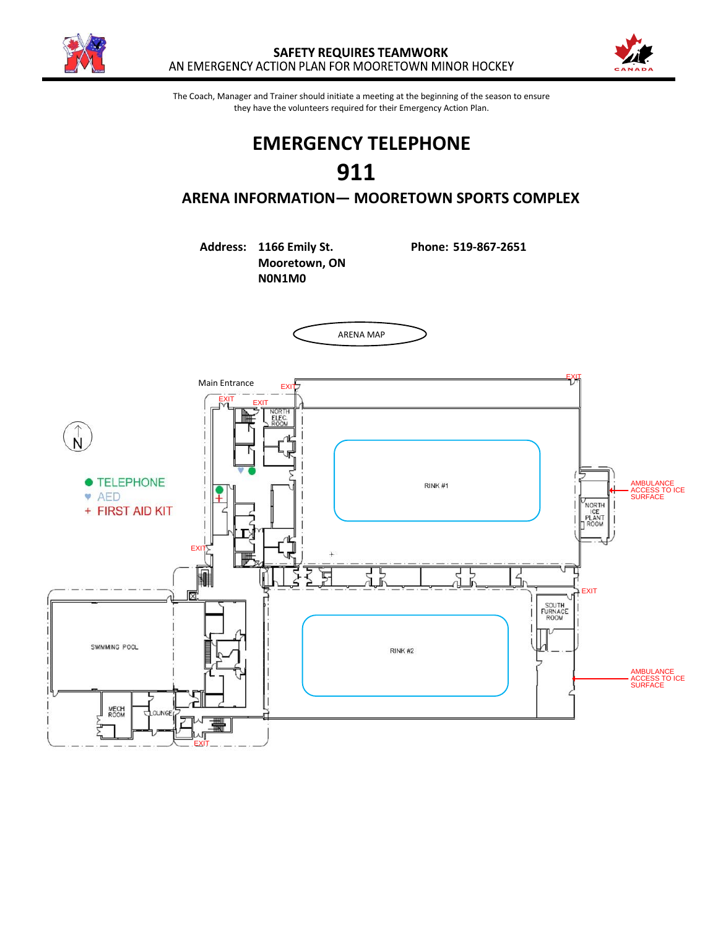



The Coach, Manager and Trainer should initiate a meeting at the beginning of the season to ensure they have the volunteers required for their Emergency Action Plan.

# **EMERGENCY TELEPHONE 911 ARENA INFORMATION— MOORETOWN SPORTS COMPLEX**

**Address: 1166 Emily St. Phone: 519-867-2651 Mooretown, ON N0N1M0**

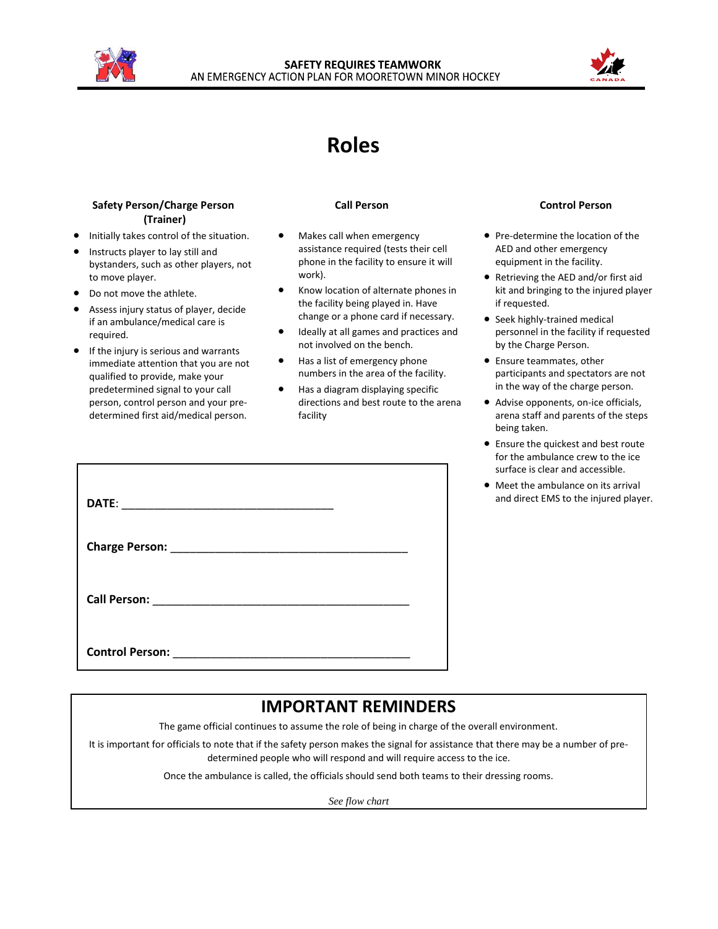



## **Roles**

### **Safety Person/Charge Person (Trainer)**

- Initially takes control of the situation.
- Instructs player to lay still and bystanders, such as other players, not
- to move player.
- Do not move the athlete.
- Assess injury status of player, decide if an ambulance/medical care is required.
- If the injury is serious and warrants immediate attention that you are not qualified to provide, make your predetermined signal to your call person, control person and your predetermined first aid/medical person.

- Makes call when emergency assistance required (tests their cell phone in the facility to ensure it will work).
- Know location of alternate phones in the facility being played in. Have change or a phone card if necessary.
- Ideally at all games and practices and not involved on the bench.
- Has a list of emergency phone numbers in the area of the facility.
- Has a diagram displaying specific directions and best route to the arena facility

### **Call Person Control Person**

- Pre-determine the location of the AED and other emergency equipment in the facility.
- Retrieving the AED and/or first aid kit and bringing to the injured player if requested.
- Seek highly-trained medical personnel in the facility if requested by the Charge Person.
- Ensure teammates, other participants and spectators are not in the way of the charge person.
- Advise opponents, on-ice officials, arena staff and parents of the steps being taken.
- Ensure the quickest and best route for the ambulance crew to the ice surface is clear and accessible.
- Meet the ambulance on its arrival and direct EMS to the injured player.

| Control Person: <u>Control Person</u> |  |
|---------------------------------------|--|

## **IMPORTANT REMINDERS**

The game official continues to assume the role of being in charge of the overall environment.

It is important for officials to note that if the safety person makes the signal for assistance that there may be a number of predetermined people who will respond and will require access to the ice.

Once the ambulance is called, the officials should send both teams to their dressing rooms.

*See flow chart*